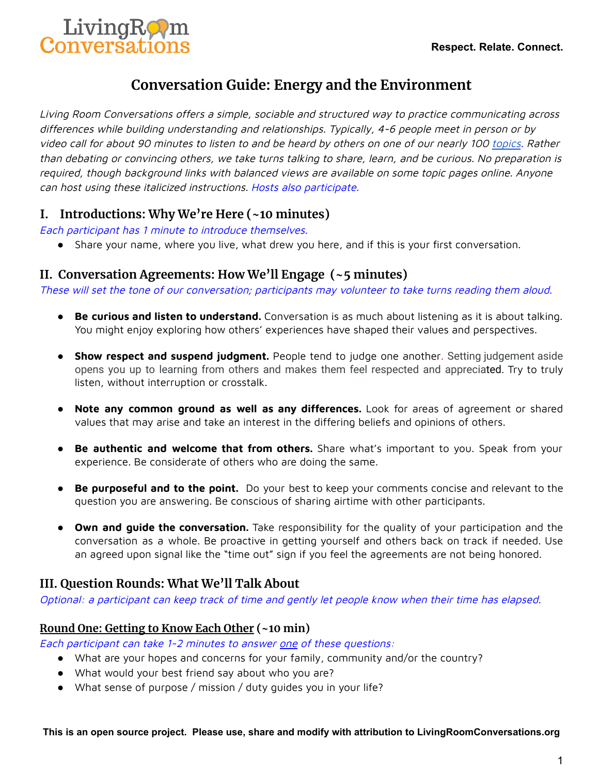

# **Conversation Guide: Energy and the Environment**

Living Room Conversations offers <sup>a</sup> simple, sociable and structured way to practice communicating across differences while building understanding and relationships. Typically, 4-6 people meet in person or by video call for about 90 minutes to listen to and be heard by others on one of our nearly 100 [topics](https://www.livingroomconversations.org/topics/). Rather than debating or convincing others, we take turns talking to share, learn, and be curious. No preparation is required, though background links with balanced views are available on some topic pages online. Anyone can host using these italicized instructions. Hosts also participate.

## **I. Introductions: Why We're Here (~10 minutes)**

Each participant has 1 minute to introduce themselves.

● Share your name, where you live, what drew you here, and if this is your first conversation.

## **II. Conversation Agreements: How We'll Engage (~5 minutes)**

These will set the tone of our conversation; participants may volunteer to take turns reading them aloud.

- **Be curious and listen to understand.** Conversation is as much about listening as it is about talking. You might enjoy exploring how others' experiences have shaped their values and perspectives.
- **Show respect and suspend judgment.** People tend to judge one another. Setting judgement aside opens you up to learning from others and makes them feel respected and appreciated. Try to truly listen, without interruption or crosstalk.
- **Note any common ground as well as any differences.** Look for areas of agreement or shared values that may arise and take an interest in the differing beliefs and opinions of others.
- **Be authentic and welcome that from others.** Share what's important to you. Speak from your experience. Be considerate of others who are doing the same.
- **Be purposeful and to the point.** Do your best to keep your comments concise and relevant to the question you are answering. Be conscious of sharing airtime with other participants.
- **Own and guide the conversation.** Take responsibility for the quality of your participation and the conversation as a whole. Be proactive in getting yourself and others back on track if needed. Use an agreed upon signal like the "time out" sign if you feel the agreements are not being honored.

## **III. Question Rounds: What We'll Talk About**

Optional: <sup>a</sup> participant can keep track of time and gently let people know when their time has elapsed.

#### **Round One: Getting to Know Each Other (~10 min)**

Each participant can take 1-2 minutes to answer one of these questions:

- What are your hopes and concerns for your family, community and/or the country?
- What would your best friend say about who you are?
- What sense of purpose / mission / duty guides you in your life?